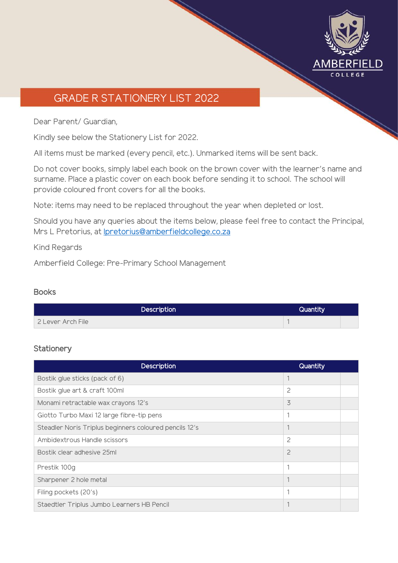

# GRADE R STATIONERY LIST 2022

Dear Parent/ Guardian,

Kindly see below the Stationery List for 2022.

All items must be marked (every pencil, etc.). Unmarked items will be sent back.

Do not cover books, simply label each book on the brown cover with the learner's name and surname. Place a plastic cover on each book before sending it to school. The school will provide coloured front covers for all the books.

Note: items may need to be replaced throughout the year when depleted or lost.

Should you have any queries about the items below, please feel free to contact the Principal, Mrs L Pretorius, at [lpretorius@amberfieldcollege.co.za](mailto:lpretorius@amberfieldcollege.co.za)

Kind Regards

Amberfield College: Pre-Primary School Management

### **Books**

| Description       | Quantity |  |
|-------------------|----------|--|
| 2 Lever Arch File |          |  |

### **Stationery**

| <b>Description</b>                                     | Quantity       |  |
|--------------------------------------------------------|----------------|--|
| Bostik glue sticks (pack of 6)                         |                |  |
| Bostik glue art & craft 100ml                          | $\overline{c}$ |  |
| Monami retractable wax crayons 12's                    | 3              |  |
| Giotto Turbo Maxi 12 large fibre-tip pens              | 1              |  |
| Steadler Noris Triplus beginners coloured pencils 12's |                |  |
| Ambidextrous Handle scissors                           | $\overline{c}$ |  |
| Bostik clear adhesive 25ml                             | $\overline{c}$ |  |
| Prestik 100g                                           | 1              |  |
| Sharpener 2 hole metal                                 |                |  |
| Filing pockets (20's)                                  | 1              |  |
| Staedtler Triplus Jumbo Learners HB Pencil             |                |  |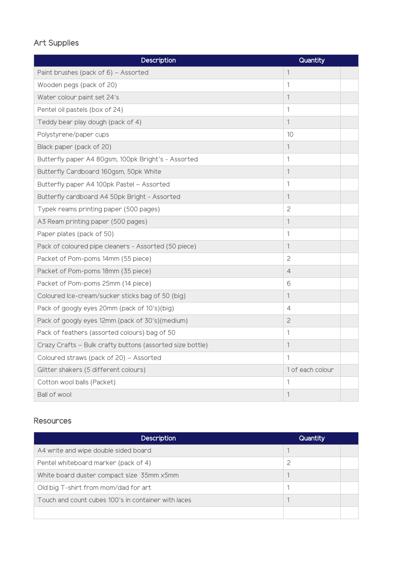## Art Supplies

| Description                                               | Quantity         |
|-----------------------------------------------------------|------------------|
| Paint brushes (pack of 6) - Assorted                      | $\mathbf{1}$     |
| Wooden pegs (pack of 20)                                  | 1                |
| Water colour paint set 24's                               | 1                |
| Pentel oil pastels (box of 24)                            | 1                |
| Teddy bear play dough (pack of 4)                         | $\mathbf{1}$     |
| Polystyrene/paper cups                                    | 10               |
| Black paper (pack of 20)                                  | $\mathbf 1$      |
| Butterfly paper A4 80gsm, 100pk Bright's - Assorted       | 1                |
| Butterfly Cardboard 160gsm, 50pk White                    | 1                |
| Butterfly paper A4 100pk Pastel - Assorted                | 1                |
| Butterfly cardboard A4 50pk Bright - Assorted             | 1                |
| Typek reams printing paper (500 pages)                    | 2                |
| A3 Ream printing paper (500 pages)                        | $\mathbf 1$      |
| Paper plates (pack of 50)                                 | 1                |
| Pack of coloured pipe cleaners - Assorted (50 piece)      | 1                |
| Packet of Pom-poms 14mm (55 piece)                        | $\overline{c}$   |
| Packet of Pom-poms 18mm (35 piece)                        | $\overline{4}$   |
| Packet of Pom-poms 25mm (14 piece)                        | 6                |
| Coloured Ice-cream/sucker sticks bag of 50 (big)          | $\mathbf{1}$     |
| Pack of googly eyes 20mm (pack of 10's)(big)              | $\overline{4}$   |
| Pack of googly eyes 12mm (pack of 30's)(medium)           | $\overline{c}$   |
| Pack of feathers (assorted colours) bag of 50             | 1                |
| Crazy Crafts - Bulk crafty buttons (assorted size bottle) | 1                |
| Coloured straws (pack of 20) - Assorted                   | 1                |
| Glitter shakers (5 different colours)                     | 1 of each colour |
| Cotton wool balls (Packet)                                | 1                |
| Ball of wool                                              | 1                |

#### **Resources**

| <b>Description</b>                                  | Quantity |  |
|-----------------------------------------------------|----------|--|
| A4 write and wipe double sided board                |          |  |
| Pentel whiteboard marker (pack of 4)                | 2        |  |
| White board duster compact size 35mm x5mm           |          |  |
| Old big T-shirt from mom/dad for art                |          |  |
| Touch and count cubes 100's in container with laces |          |  |
|                                                     |          |  |